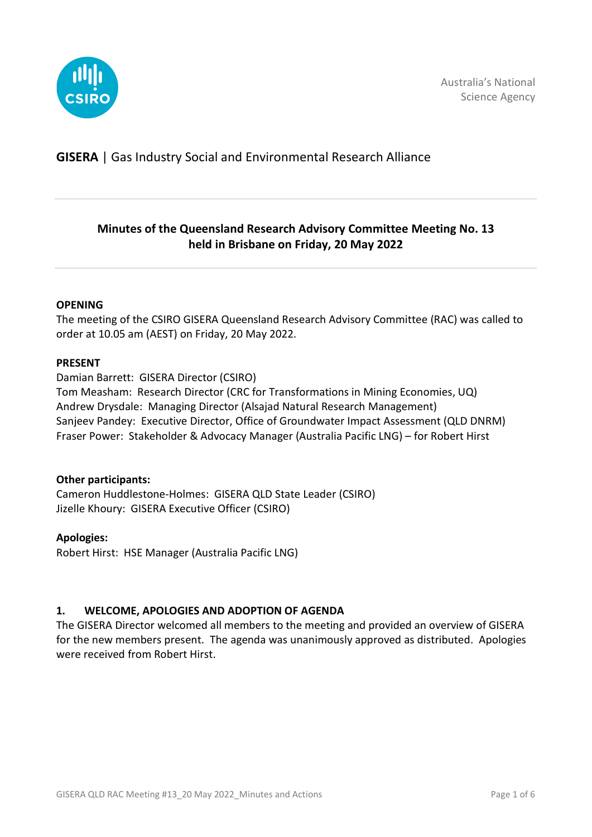

# **GISERA** | Gas Industry Social and Environmental Research Alliance

# **Minutes of the Queensland Research Advisory Committee Meeting No. 13 held in Brisbane on Friday, 20 May 2022**

#### **OPENING**

The meeting of the CSIRO GISERA Queensland Research Advisory Committee (RAC) was called to order at 10.05 am (AEST) on Friday, 20 May 2022.

#### **PRESENT**

Damian Barrett: GISERA Director (CSIRO) Tom Measham: Research Director (CRC for Transformations in Mining Economies, UQ) Andrew Drysdale: Managing Director (Alsajad Natural Research Management) Sanjeev Pandey: Executive Director, Office of Groundwater Impact Assessment (QLD DNRM) Fraser Power: Stakeholder & Advocacy Manager (Australia Pacific LNG) – for Robert Hirst

### **Other participants:**

Cameron Huddlestone-Holmes: GISERA QLD State Leader (CSIRO) Jizelle Khoury: GISERA Executive Officer (CSIRO)

### **Apologies:**

Robert Hirst: HSE Manager (Australia Pacific LNG)

### **1. WELCOME, APOLOGIES AND ADOPTION OF AGENDA**

The GISERA Director welcomed all members to the meeting and provided an overview of GISERA for the new members present. The agenda was unanimously approved as distributed. Apologies were received from Robert Hirst.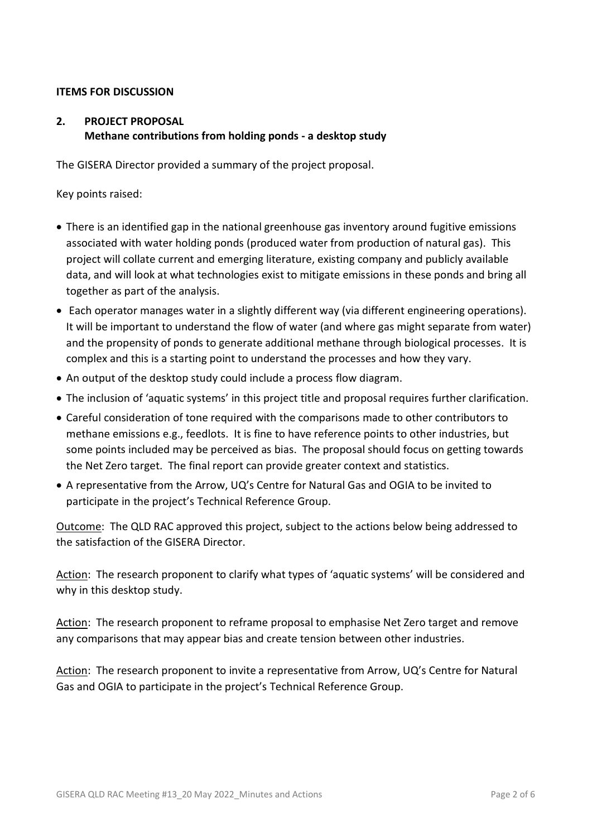### **ITEMS FOR DISCUSSION**

### **2. PROJECT PROPOSAL Methane contributions from holding ponds - a desktop study**

The GISERA Director provided a summary of the project proposal.

Key points raised:

- There is an identified gap in the national greenhouse gas inventory around fugitive emissions associated with water holding ponds (produced water from production of natural gas). This project will collate current and emerging literature, existing company and publicly available data, and will look at what technologies exist to mitigate emissions in these ponds and bring all together as part of the analysis.
- Each operator manages water in a slightly different way (via different engineering operations). It will be important to understand the flow of water (and where gas might separate from water) and the propensity of ponds to generate additional methane through biological processes. It is complex and this is a starting point to understand the processes and how they vary.
- An output of the desktop study could include a process flow diagram.
- The inclusion of 'aquatic systems' in this project title and proposal requires further clarification.
- Careful consideration of tone required with the comparisons made to other contributors to methane emissions e.g., feedlots. It is fine to have reference points to other industries, but some points included may be perceived as bias. The proposal should focus on getting towards the Net Zero target. The final report can provide greater context and statistics.
- A representative from the Arrow, UQ's Centre for Natural Gas and OGIA to be invited to participate in the project's Technical Reference Group.

Outcome: The QLD RAC approved this project, subject to the actions below being addressed to the satisfaction of the GISERA Director.

Action: The research proponent to clarify what types of 'aquatic systems' will be considered and why in this desktop study.

Action: The research proponent to reframe proposal to emphasise Net Zero target and remove any comparisons that may appear bias and create tension between other industries.

Action: The research proponent to invite a representative from Arrow, UQ's Centre for Natural Gas and OGIA to participate in the project's Technical Reference Group.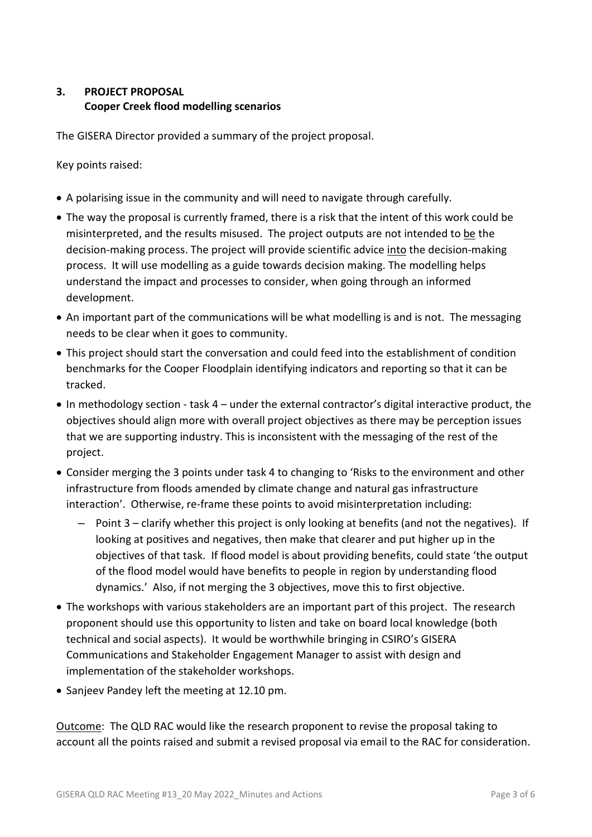## **3. PROJECT PROPOSAL Cooper Creek flood modelling scenarios**

The GISERA Director provided a summary of the project proposal.

Key points raised:

- A polarising issue in the community and will need to navigate through carefully.
- The way the proposal is currently framed, there is a risk that the intent of this work could be misinterpreted, and the results misused. The project outputs are not intended to be the decision-making process. The project will provide scientific advice into the decision-making process. It will use modelling as a guide towards decision making. The modelling helps understand the impact and processes to consider, when going through an informed development.
- An important part of the communications will be what modelling is and is not. The messaging needs to be clear when it goes to community.
- This project should start the conversation and could feed into the establishment of condition benchmarks for the Cooper Floodplain identifying indicators and reporting so that it can be tracked.
- In methodology section task 4 under the external contractor's digital interactive product, the objectives should align more with overall project objectives as there may be perception issues that we are supporting industry. This is inconsistent with the messaging of the rest of the project.
- Consider merging the 3 points under task 4 to changing to 'Risks to the environment and other infrastructure from floods amended by climate change and natural gas infrastructure interaction'. Otherwise, re-frame these points to avoid misinterpretation including:
	- Point 3 clarify whether this project is only looking at benefits (and not the negatives). If looking at positives and negatives, then make that clearer and put higher up in the objectives of that task. If flood model is about providing benefits, could state 'the output of the flood model would have benefits to people in region by understanding flood dynamics.' Also, if not merging the 3 objectives, move this to first objective.
- The workshops with various stakeholders are an important part of this project. The research proponent should use this opportunity to listen and take on board local knowledge (both technical and social aspects). It would be worthwhile bringing in CSIRO's GISERA Communications and Stakeholder Engagement Manager to assist with design and implementation of the stakeholder workshops.
- Sanjeev Pandey left the meeting at 12.10 pm.

Outcome: The QLD RAC would like the research proponent to revise the proposal taking to account all the points raised and submit a revised proposal via email to the RAC for consideration.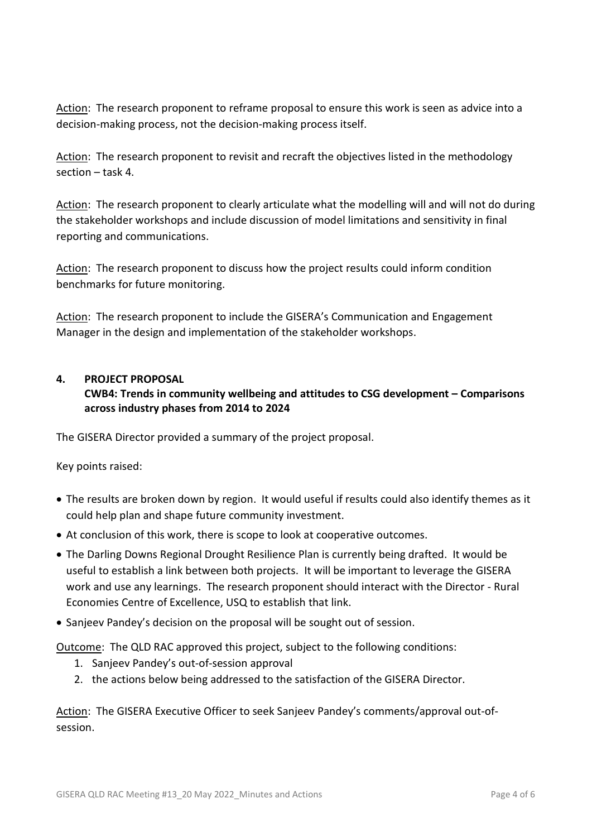Action: The research proponent to reframe proposal to ensure this work is seen as advice into a decision-making process, not the decision-making process itself.

Action: The research proponent to revisit and recraft the objectives listed in the methodology section – task 4.

Action: The research proponent to clearly articulate what the modelling will and will not do during the stakeholder workshops and include discussion of model limitations and sensitivity in final reporting and communications.

Action: The research proponent to discuss how the project results could inform condition benchmarks for future monitoring.

Action: The research proponent to include the GISERA's Communication and Engagement Manager in the design and implementation of the stakeholder workshops.

### **4. PROJECT PROPOSAL**

**CWB4: Trends in community wellbeing and attitudes to CSG development – Comparisons across industry phases from 2014 to 2024**

The GISERA Director provided a summary of the project proposal.

Key points raised:

- The results are broken down by region. It would useful if results could also identify themes as it could help plan and shape future community investment.
- At conclusion of this work, there is scope to look at cooperative outcomes.
- The Darling Downs Regional Drought Resilience Plan is currently being drafted. It would be useful to establish a link between both projects. It will be important to leverage the GISERA work and use any learnings. The research proponent should interact with the Director - Rural Economies Centre of Excellence, USQ to establish that link.
- Sanjeev Pandey's decision on the proposal will be sought out of session.

Outcome: The QLD RAC approved this project, subject to the following conditions:

- 1. Sanjeev Pandey's out-of-session approval
- 2. the actions below being addressed to the satisfaction of the GISERA Director.

Action: The GISERA Executive Officer to seek Sanjeev Pandey's comments/approval out-ofsession.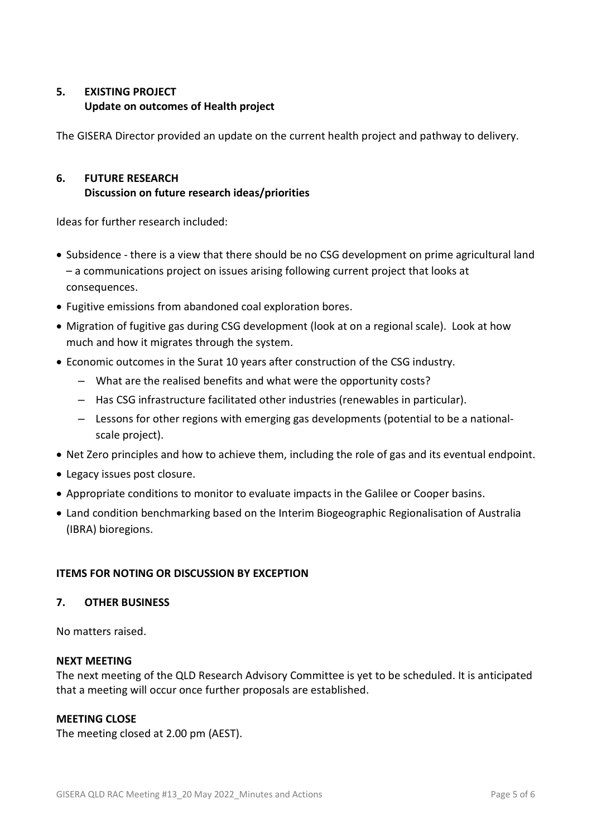## **5. EXISTING PROJECT Update on outcomes of Health project**

The GISERA Director provided an update on the current health project and pathway to delivery.

# **6. FUTURE RESEARCH Discussion on future research ideas/priorities**

Ideas for further research included:

- Subsidence there is a view that there should be no CSG development on prime agricultural land – a communications project on issues arising following current project that looks at consequences.
- Fugitive emissions from abandoned coal exploration bores.
- Migration of fugitive gas during CSG development (look at on a regional scale). Look at how much and how it migrates through the system.
- Economic outcomes in the Surat 10 years after construction of the CSG industry.
	- What are the realised benefits and what were the opportunity costs?
	- Has CSG infrastructure facilitated other industries (renewables in particular).
	- Lessons for other regions with emerging gas developments (potential to be a nationalscale project).
- Net Zero principles and how to achieve them, including the role of gas and its eventual endpoint.
- Legacy issues post closure.
- Appropriate conditions to monitor to evaluate impacts in the Galilee or Cooper basins.
- Land condition benchmarking based on the Interim Biogeographic Regionalisation of Australia (IBRA) bioregions.

### **ITEMS FOR NOTING OR DISCUSSION BY EXCEPTION**

### **7. OTHER BUSINESS**

No matters raised.

### **NEXT MEETING**

The next meeting of the QLD Research Advisory Committee is yet to be scheduled. It is anticipated that a meeting will occur once further proposals are established.

### **MEETING CLOSE**

The meeting closed at 2.00 pm (AEST).